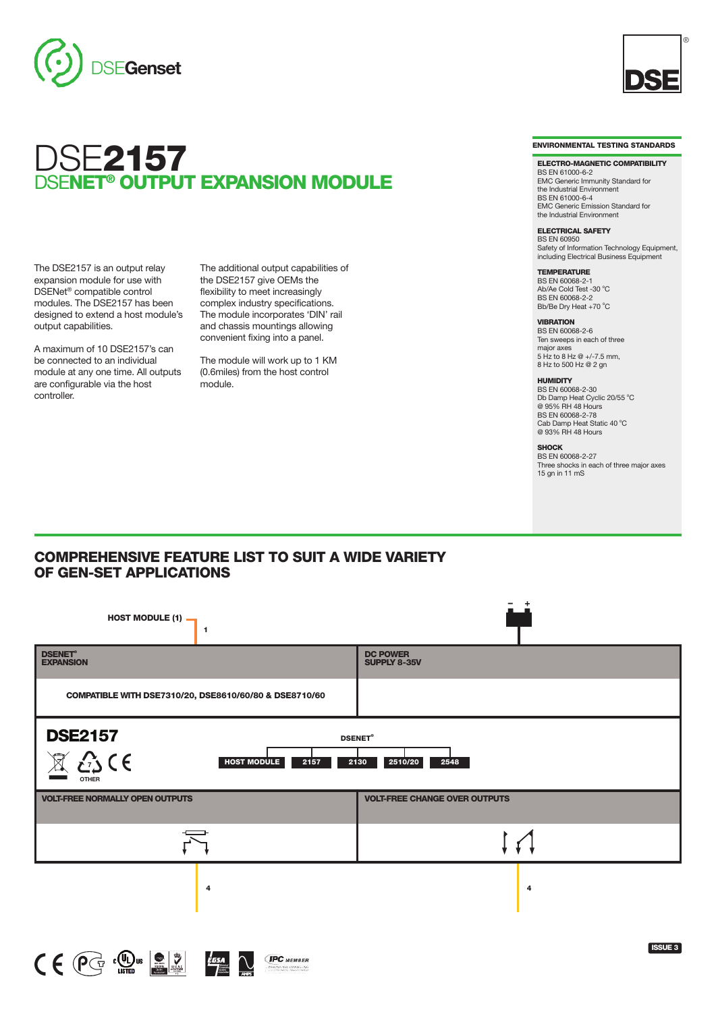



The DSE2157 is an output relay expansion module for use with DSENet ® compatible control modules. The DSE2157 has been designed to extend a host module's output capabilities.

A maximum of 10 DSE2157's can be connected to an individual module at any one time. All outputs are configurable via the host controller.

The additional output capabilities of the DSE2157 give OEMs the flexibility to meet increasingly complex industry specifications. The module incorporates 'DIN' rail and chassis mountings allowing convenient fixing into a panel.

The module will work up to 1 KM (0.6miles) from the host control module.



®

**ELECTRO-MAGNETIC COMPATIBILITY** BS EN 61000-6-2 EMC Generic Immunity Standard for the Industrial Environment BS EN 61000-6-4 EMC Generic Emission Standard for

the Industrial Environment **ELECTRICAL SAFETY** BS EN 60950 Safety of Information Technology Equipment, including Electrical Business Equipment

**TEMPERATURE** BS EN 60068-2-1 Ab/Ae Cold Test -30 °C BS EN 60068-2-2 Bb/Be Dry Heat +70 °C

**VIBRATION** BS EN 60068-2-6 Ten sweeps in each of three major axes 5 Hz to 8 Hz @ +/-7.5 mm, 8 Hz to 500 Hz @ 2 gn

**HUMIDITY** BS EN 60068-2-30 Db Damp Heat Cyclic 20/55 °C @ 95% RH 48 Hours BS EN 60068-2-78 Cab Damp Heat Static 40 °C<br>@ 93% RH 48 Hours

**SHOCK** BS EN 60068-2-27

Three shocks in each of three major axes 15 gn in 11 mS

### **COMPREHENSIVE FEATURE LIST TO SUIT A WIDE VARIETY OF GEN-SET APPLICATIONS**

| <b>HOST MODULE (1)</b><br>$\mathbf{1}$                                                                                                           |                                        |
|--------------------------------------------------------------------------------------------------------------------------------------------------|----------------------------------------|
| <b>DSENET®</b><br><b>EXPANSION</b>                                                                                                               | <b>DC POWER</b><br><b>SUPPLY 8-35V</b> |
| COMPATIBLE WITH DSE7310/20, DSE8610/60/80 & DSE8710/60                                                                                           |                                        |
| <b>DSE2157</b><br><b>DSENET®</b><br>$\hat{c}$<br>$\mathbb{\widehat{A}}$<br><b>HOST MODULE</b><br>2510/20<br>2157<br>2130<br>2548<br><b>OTHER</b> |                                        |
| <b>VOLT-FREE NORMALLY OPEN OUTPUTS</b>                                                                                                           | <b>VOLT-FREE CHANGE OVER OUTPUTS</b>   |
|                                                                                                                                                  |                                        |
| 4                                                                                                                                                | $\overline{4}$                         |